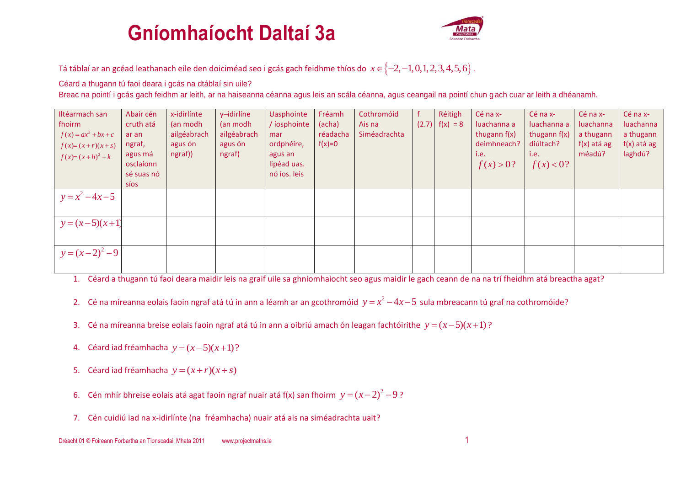## **Gníomhaíocht Daltaí 3a**



Tá táblaí ar an gcéad leathanach eile den doiciméad seo i gcás gach feidhme thíos do  $x\in\{-2,-1,0,1,2,3,4,5,6\}$  .

Céard a thugann tú faoi deara i gcás na dtáblaí sin uile?

Breac na pointí i gcás gach feidhm ar leith, ar na haiseanna céanna agus leis an scála céanna, agus ceangail na pointí chun g ach cuar ar leith a dhéanamh.

| Iltéarmach san<br>fhoirm<br>$f(x) = ax^2 + bx + c$<br>$f(x)=(x+r)(x+s)$<br>$f(x)=(x+h)^2+k$ | Abair cén<br>cruth atá<br>ar an<br>ngraf,<br>agus má<br>osclaíonn<br>sé suas nó | x-idirlínte<br>(an modh<br>ailgéabrach<br>agus ón<br>ngraf)) | y-idirlíne<br>(an modh<br>ailgéabrach<br>agus ón<br>ngraf) | <b>Uasphointe</b><br>/ iosphointe<br>mar<br>ordphéire,<br>agus an<br>lipéad uas.<br>nó íos. leis | Fréamh<br>(acha)<br>réadacha<br>$f(x)=0$ | Cothromóid<br>Ais na<br>Siméadrachta | Réitigh<br>$(2.7)$ $f(x) = 8$ | Cé na x-<br>luachanna a<br>thugann $f(x)$<br>deimhneach?<br>i.e.<br>f(x) > 0? | Cé na x-<br>luachanna a<br>thugann $f(x)$<br>diúltach?<br>i.e.<br>f(x) < 0? | Cé na x-<br>luachanna<br>a thugann<br>$f(x)$ atá ag<br>méadú? | Cé na x-<br>luachanna<br>a thugann<br>$f(x)$ atá ag<br>laghdú? |
|---------------------------------------------------------------------------------------------|---------------------------------------------------------------------------------|--------------------------------------------------------------|------------------------------------------------------------|--------------------------------------------------------------------------------------------------|------------------------------------------|--------------------------------------|-------------------------------|-------------------------------------------------------------------------------|-----------------------------------------------------------------------------|---------------------------------------------------------------|----------------------------------------------------------------|
| $y = x^2 - 4x - 5$<br>$y=(x-5)(x+1)$                                                        | síos                                                                            |                                                              |                                                            |                                                                                                  |                                          |                                      |                               |                                                                               |                                                                             |                                                               |                                                                |
| $y=(x-2)^2-9$                                                                               |                                                                                 |                                                              |                                                            |                                                                                                  |                                          |                                      |                               |                                                                               |                                                                             |                                                               |                                                                |

1. Céard a thugann tú faoi deara maidir leis na graif uile sa ghníomhaiocht seo agus maidir le gach ceann de na na trí fheidhm atá breactha agat?

- 2. Cé na míreanna eolais faoin ngraf atá tú in ann a léamh ar an gcothromóid  $y = x^2 4x 5$  sula mbreacann tú graf na cothromóide?
- 3. Cé na míreanna breise eolais faoin ngraf atá tú in ann a oibriú amach ón leagan fachtóirithe  $y = (x-5)(x+1)$ ?
- 4. Céard iad fréamhacha  $y = (x-5)(x+1)$ ?
- 5. Céard iad fréamhacha  $y = (x + r)(x + s)$
- 6. Cén mhír bhreise eolais atá agat faoin ngraf nuair atá f(x) san fhoirm  $y = (x-2)^2 9$ ?
- 7. Cén cuidiú iad na x-idirlínte (na fréamhacha) nuair atá ais na siméadrachta uait?